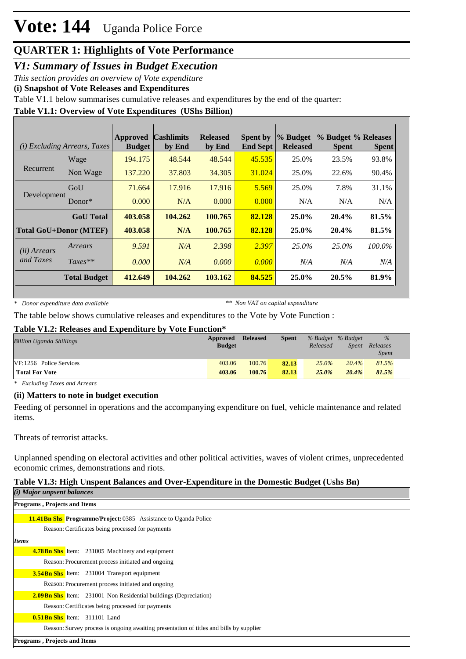# **Vote: 144** Uganda Police Force

## **QUARTER 1: Highlights of Vote Performance**

*V1: Summary of Issues in Budget Execution*

*This section provides an overview of Vote expenditure* 

**(i) Snapshot of Vote Releases and Expenditures**

Table V1.1 below summarises cumulative releases and expenditures by the end of the quarter:

### **Table V1.1: Overview of Vote Expenditures (UShs Billion)**

|                       | ( <i>i</i> ) Excluding Arrears, Taxes | <b>Approved</b><br><b>Budget</b> | <b>Cashlimits</b><br>by End | <b>Released</b><br>by End | <b>Spent by</b><br><b>End Sept</b> | % Budget<br><b>Released</b> | % Budget % Releases<br><b>Spent</b> | <b>Spent</b> |
|-----------------------|---------------------------------------|----------------------------------|-----------------------------|---------------------------|------------------------------------|-----------------------------|-------------------------------------|--------------|
|                       | Wage                                  | 194.175                          | 48.544                      | 48.544                    | 45.535                             | 25.0%                       | 23.5%                               | 93.8%        |
| Recurrent             | Non Wage                              | 137.220                          | 37.803                      | 34.305                    | 31.024                             | 25.0%                       | 22.6%                               | 90.4%        |
|                       | GoU                                   | 71.664                           | 17.916                      | 17.916                    | 5.569                              | 25.0%                       | 7.8%                                | 31.1%        |
| Development           | Donor $*$                             | 0.000                            | N/A                         | 0.000                     | 0.000                              | N/A                         | N/A                                 | N/A          |
|                       | <b>GoU</b> Total                      | 403.058                          | 104.262                     | 100.765                   | 82.128                             | $25.0\%$                    | 20.4%                               | 81.5%        |
|                       | <b>Total GoU+Donor (MTEF)</b>         | 403.058                          | N/A                         | 100.765                   | 82.128                             | 25.0%                       | 20.4%                               | 81.5%        |
| ( <i>ii</i> ) Arrears | Arrears                               | 9.591                            | N/A                         | 2.398                     | 2.397                              | 25.0%                       | 25.0%                               | 100.0%       |
| and Taxes             | $Taxes**$                             | 0.000                            | N/A                         | 0.000                     | 0.000                              | N/A                         | N/A                                 | N/A          |
|                       | <b>Total Budget</b>                   | 412.649                          | 104.262                     | 103.162                   | 84.525                             | 25.0%                       | 20.5%                               | 81.9%        |

*\* Donor expenditure data available*

*\*\* Non VAT on capital expenditure*

The table below shows cumulative releases and expenditures to the Vote by Vote Function :

### **Table V1.2: Releases and Expenditure by Vote Function\***

| <b>Billion Uganda Shillings</b> | Approved<br><b>Budget</b> | <b>Released</b> | <b>Spent</b> | % Budget % Budget<br>Released | Spent | $\frac{9}{6}$<br>Releases<br><i>Spent</i> |  |
|---------------------------------|---------------------------|-----------------|--------------|-------------------------------|-------|-------------------------------------------|--|
| VF:1256 Police Services         | 403.06                    | 100.76          | 82.13        | $25.0\%$                      | 20.4% | 81.5%                                     |  |
| <b>Total For Vote</b>           | 403.06                    | 100.76          | 82.13        | 25.0%                         | 20.4% | 81.5%                                     |  |

*\* Excluding Taxes and Arrears*

### **(ii) Matters to note in budget execution**

Feeding of personnel in operations and the accompanying expenditure on fuel, vehicle maintenance and related items.

Threats of terrorist attacks.

Unplanned spending on electoral activities and other political activities, waves of violent crimes, unprecedented economic crimes, demonstrations and riots.

### **Table V1.3: High Unspent Balances and Over-Expenditure in the Domestic Budget (Ushs Bn)**

| $(i)$ Major unpsent balances                                                            |  |  |  |  |  |
|-----------------------------------------------------------------------------------------|--|--|--|--|--|
| <b>Programs, Projects and Items</b>                                                     |  |  |  |  |  |
| <b>11.41Bn Shs Programme/Project: 0385</b> Assistance to Uganda Police                  |  |  |  |  |  |
| Reason: Certificates being processed for payments                                       |  |  |  |  |  |
| <b>Items</b>                                                                            |  |  |  |  |  |
| <b>4.78Bn Shs</b> Item: 231005 Machinery and equipment                                  |  |  |  |  |  |
| Reason: Procurement process initiated and ongoing                                       |  |  |  |  |  |
| <b>3.54Bn Shs</b> Item: 231004 Transport equipment                                      |  |  |  |  |  |
| Reason: Procurement process initiated and ongoing                                       |  |  |  |  |  |
| <b>2.09Bn Shs</b> Item: 231001 Non Residential buildings (Depreciation)                 |  |  |  |  |  |
| Reason: Certificates being processed for payments                                       |  |  |  |  |  |
| <b>0.51Bn Shs</b> Item: 311101 Land                                                     |  |  |  |  |  |
| Reason: Survey process is ongoing awaiting presentation of titles and bills by supplier |  |  |  |  |  |
| Dreamans Dreigate and Itams                                                             |  |  |  |  |  |

**Programs , Projects and Items**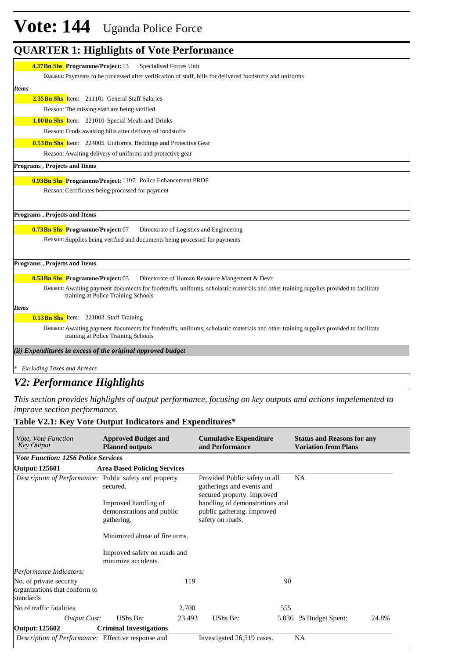# **Vote: 144** Uganda Police Force

### **QUARTER 1: Highlights of Vote Performance**

| <b>4.37Bn Shs Programme/Project: 13</b><br>Specialised Forces Unit                                                                                                          |
|-----------------------------------------------------------------------------------------------------------------------------------------------------------------------------|
| Reason: Payments to be processed after verification of staff, bills for delivered foodstuffs and uniforms                                                                   |
| <b>Items</b>                                                                                                                                                                |
| 2.35Bn Shs Item: 211101 General Staff Salaries                                                                                                                              |
| Reason: The missing staff are being verified                                                                                                                                |
| 1.00Bn Shs Item: 221010 Special Meals and Drinks                                                                                                                            |
| Reason: Funds awaiting bills after delivery of foodstuffs                                                                                                                   |
| <b>0.53Bn Shs</b> Item: 224005 Uniforms, Beddings and Protective Gear                                                                                                       |
| Reason: Awaiting delivery of uniforms and protective gear                                                                                                                   |
| Programs, Projects and Items                                                                                                                                                |
| 0.93Bn Shs Programme/Project: 1107 Police Enhancement PRDP                                                                                                                  |
| Reason: Certificates being processed for payment                                                                                                                            |
|                                                                                                                                                                             |
| <b>Programs, Projects and Items</b>                                                                                                                                         |
| 0.73Bn Shs Programme/Project: 07<br>Directorate of Logistics and Engineering                                                                                                |
| Reason: Supplies being verified and documents being processed for payments                                                                                                  |
|                                                                                                                                                                             |
| Programs, Projects and Items                                                                                                                                                |
| <b>0.53Bn Shs Programme/Project: 03</b><br>Directorate of Human Resource Mangement & Dev't                                                                                  |
| Reason: Awaiting payment documents for foodstuffs, uniforms, scholastic materials and other training supplies provided to facilitate<br>training at Police Training Schools |
| <b>Items</b>                                                                                                                                                                |
| <b>0.53Bn Shs</b> Item: 221003 Staff Training                                                                                                                               |
| Reason: Awaiting payment documents for foodstuffs, uniforms, scholastic materials and other training supplies provided to facilitate<br>training at Police Training Schools |
| (ii) Expenditures in excess of the original approved budget                                                                                                                 |
| <b>Excluding Taxes and Arrears</b>                                                                                                                                          |

### *V2: Performance Highlights*

*This section provides highlights of output performance, focusing on key outputs and actions impelemented to improve section performance.*

### **Table V2.1: Key Vote Output Indicators and Expenditures\***

| <i>Vote, Vote Function</i><br><b>Key Output</b>                       | <b>Approved Budget and</b><br><b>Planned outputs</b>                                                                                         |        | <b>Cumulative Expenditure</b><br>and Performance                                                                                                                             |       | <b>Status and Reasons for any</b><br><b>Variation from Plans</b> |       |
|-----------------------------------------------------------------------|----------------------------------------------------------------------------------------------------------------------------------------------|--------|------------------------------------------------------------------------------------------------------------------------------------------------------------------------------|-------|------------------------------------------------------------------|-------|
| <b>Vote Function: 1256 Police Services</b>                            |                                                                                                                                              |        |                                                                                                                                                                              |       |                                                                  |       |
| <b>Output: 125601</b>                                                 | <b>Area Based Policing Services</b>                                                                                                          |        |                                                                                                                                                                              |       |                                                                  |       |
| <i>Description of Performance:</i> Public safety and property         | secured.<br>Improved handling of<br>demonstrations and public<br>gathering.<br>Minimized abuse of fire arms.<br>Improved safety on roads and |        | Provided Public safety in all<br>gatherings and events and<br>secured property. Improved<br>handling of demonstrations and<br>public gathering. Improved<br>safety on roads. |       | <b>NA</b>                                                        |       |
|                                                                       | minimize accidents.                                                                                                                          |        |                                                                                                                                                                              |       |                                                                  |       |
| Performance Indicators:                                               |                                                                                                                                              |        |                                                                                                                                                                              |       |                                                                  |       |
| No. of private security<br>organizations that conform to<br>standards |                                                                                                                                              | 119    |                                                                                                                                                                              | 90    |                                                                  |       |
| No of traffic fatalities                                              |                                                                                                                                              | 2,700  |                                                                                                                                                                              | 555   |                                                                  |       |
| <b>Output Cost:</b>                                                   | UShs Bn:                                                                                                                                     | 23.493 | UShs Bn:                                                                                                                                                                     | 5.836 | % Budget Spent:                                                  | 24.8% |
| Output: 125602                                                        | <b>Criminal Investigations</b>                                                                                                               |        |                                                                                                                                                                              |       |                                                                  |       |
| Description of Performance: Effective response and                    |                                                                                                                                              |        | Investigated 26,519 cases.                                                                                                                                                   |       | NA                                                               |       |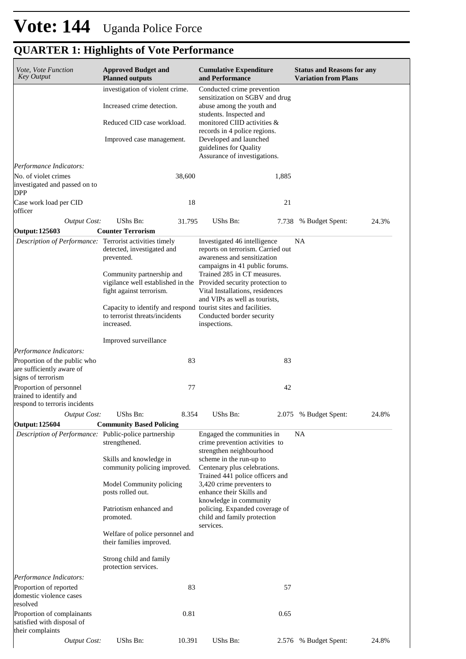| Vote, Vote Function<br><b>Key Output</b>                                            | <b>Approved Budget and</b><br><b>Planned outputs</b>                                              |        | <b>Cumulative Expenditure</b><br>and Performance                                                                                                                                                                                                                          |       | <b>Status and Reasons for any</b><br><b>Variation from Plans</b> |       |
|-------------------------------------------------------------------------------------|---------------------------------------------------------------------------------------------------|--------|---------------------------------------------------------------------------------------------------------------------------------------------------------------------------------------------------------------------------------------------------------------------------|-------|------------------------------------------------------------------|-------|
|                                                                                     | investigation of violent crime.<br>Increased crime detection.                                     |        | Conducted crime prevention<br>sensitization on SGBV and drug<br>abuse among the youth and<br>students. Inspected and                                                                                                                                                      |       |                                                                  |       |
|                                                                                     | Reduced CID case workload.                                                                        |        | monitored CIID activities &                                                                                                                                                                                                                                               |       |                                                                  |       |
|                                                                                     | Improved case management.                                                                         |        | records in 4 police regions.<br>Developed and launched<br>guidelines for Quality<br>Assurance of investigations.                                                                                                                                                          |       |                                                                  |       |
| Performance Indicators:                                                             |                                                                                                   |        |                                                                                                                                                                                                                                                                           |       |                                                                  |       |
| No. of violet crimes<br>investigated and passed on to<br><b>DPP</b>                 |                                                                                                   | 38,600 |                                                                                                                                                                                                                                                                           | 1,885 |                                                                  |       |
| Case work load per CID<br>officer                                                   |                                                                                                   | 18     |                                                                                                                                                                                                                                                                           | 21    |                                                                  |       |
| <b>Output Cost:</b>                                                                 | UShs Bn:                                                                                          | 31.795 | UShs Bn:                                                                                                                                                                                                                                                                  | 7.738 | % Budget Spent:                                                  | 24.3% |
| Output: 125603                                                                      | <b>Counter Terrorism</b>                                                                          |        |                                                                                                                                                                                                                                                                           |       |                                                                  |       |
| Description of Performance: Terrorist activities timely                             | detected, investigated and<br>prevented.<br>Community partnership and<br>fight against terrorism. |        | Investigated 46 intelligence<br>reports on terrorism. Carried out<br>awareness and sensitization<br>campaigns in 41 public forums.<br>Trained 285 in CT measures.<br>vigilance well established in the Provided security protection to<br>Vital Installations, residences |       | <b>NA</b>                                                        |       |
|                                                                                     | to terrorist threats/incidents<br>increased.                                                      |        | and VIPs as well as tourists,<br>Capacity to identify and respond tourist sites and facilities.<br>Conducted border security<br>inspections.                                                                                                                              |       |                                                                  |       |
|                                                                                     | Improved surveillance                                                                             |        |                                                                                                                                                                                                                                                                           |       |                                                                  |       |
| Performance Indicators:                                                             |                                                                                                   |        |                                                                                                                                                                                                                                                                           |       |                                                                  |       |
| Proportion of the public who<br>are sufficiently aware of<br>signs of terrorism     |                                                                                                   | 83     |                                                                                                                                                                                                                                                                           | 83    |                                                                  |       |
| Proportion of personnel<br>trained to identify and<br>respond to terroris incidents |                                                                                                   | 77     |                                                                                                                                                                                                                                                                           | 42    |                                                                  |       |
| <b>Output Cost:</b>                                                                 | UShs Bn:                                                                                          | 8.354  | UShs Bn:                                                                                                                                                                                                                                                                  |       | 2.075 % Budget Spent:                                            | 24.8% |
| <b>Output: 125604</b>                                                               | <b>Community Based Policing</b>                                                                   |        |                                                                                                                                                                                                                                                                           |       |                                                                  |       |
| Description of Performance: Public-police partnership                               | strengthened.                                                                                     |        | Engaged the communities in<br>crime prevention activities to<br>strengthen neighbourhood                                                                                                                                                                                  |       | NA                                                               |       |
|                                                                                     | Skills and knowledge in<br>community policing improved.                                           |        | scheme in the run-up to<br>Centenary plus celebrations.<br>Trained 441 police officers and                                                                                                                                                                                |       |                                                                  |       |
|                                                                                     | Model Community policing<br>posts rolled out.                                                     |        | 3,420 crime preventers to<br>enhance their Skills and<br>knowledge in community<br>policing. Expanded coverage of<br>child and family protection<br>services.                                                                                                             |       |                                                                  |       |
|                                                                                     | Patriotism enhanced and<br>promoted.                                                              |        |                                                                                                                                                                                                                                                                           |       |                                                                  |       |
|                                                                                     | Welfare of police personnel and<br>their families improved.                                       |        |                                                                                                                                                                                                                                                                           |       |                                                                  |       |
|                                                                                     | Strong child and family<br>protection services.                                                   |        |                                                                                                                                                                                                                                                                           |       |                                                                  |       |
| Performance Indicators:                                                             |                                                                                                   |        |                                                                                                                                                                                                                                                                           |       |                                                                  |       |
| Proportion of reported<br>domestic violence cases<br>resolved                       |                                                                                                   | 83     |                                                                                                                                                                                                                                                                           | 57    |                                                                  |       |
| Proportion of complainants<br>satisfied with disposal of<br>their complaints        |                                                                                                   | 0.81   |                                                                                                                                                                                                                                                                           | 0.65  |                                                                  |       |
| <b>Output Cost:</b>                                                                 | UShs Bn:                                                                                          | 10.391 | UShs Bn:                                                                                                                                                                                                                                                                  | 2.576 | % Budget Spent:                                                  | 24.8% |

## **QUARTER 1: Highlights of Vote Performance**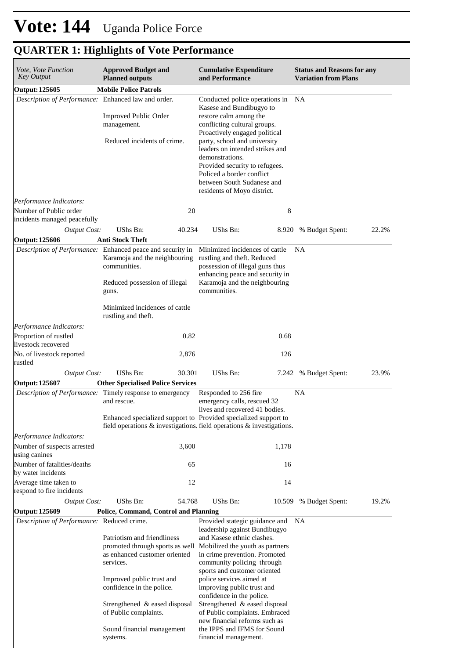| Vote, Vote Function<br><b>Key Output</b>                                                             | <b>Approved Budget and</b><br><b>Planned outputs</b>                                                                                                                                                                             | <b>Cumulative Expenditure</b><br>and Performance                                                                                                                                                                                                                                                                                                                                          | <b>Status and Reasons for any</b><br><b>Variation from Plans</b> |  |
|------------------------------------------------------------------------------------------------------|----------------------------------------------------------------------------------------------------------------------------------------------------------------------------------------------------------------------------------|-------------------------------------------------------------------------------------------------------------------------------------------------------------------------------------------------------------------------------------------------------------------------------------------------------------------------------------------------------------------------------------------|------------------------------------------------------------------|--|
| Output: 125605                                                                                       | <b>Mobile Police Patrols</b>                                                                                                                                                                                                     |                                                                                                                                                                                                                                                                                                                                                                                           |                                                                  |  |
| Description of Performance: Enhanced law and order.                                                  | <b>Improved Public Order</b><br>management.<br>Reduced incidents of crime.                                                                                                                                                       | Conducted police operations in NA<br>Kasese and Bundibugyo to<br>restore calm among the<br>conflicting cultural groups.<br>Proactively engaged political<br>party, school and university<br>leaders on intended strikes and<br>demonstrations.<br>Provided security to refugees.<br>Policed a border conflict<br>between South Sudanese and<br>residents of Moyo district.                |                                                                  |  |
| Performance Indicators:                                                                              |                                                                                                                                                                                                                                  |                                                                                                                                                                                                                                                                                                                                                                                           |                                                                  |  |
| Number of Public order<br>incidents managed peacefully                                               | 20                                                                                                                                                                                                                               | 8                                                                                                                                                                                                                                                                                                                                                                                         |                                                                  |  |
| <b>Output Cost:</b>                                                                                  | UShs Bn:<br>40.234                                                                                                                                                                                                               | UShs Bn:<br>8.920                                                                                                                                                                                                                                                                                                                                                                         | 22.2%<br>% Budget Spent:                                         |  |
| <b>Output: 125606</b>                                                                                | <b>Anti Stock Theft</b>                                                                                                                                                                                                          |                                                                                                                                                                                                                                                                                                                                                                                           |                                                                  |  |
|                                                                                                      | <i>Description of Performance:</i> Enhanced peace and security in<br>Karamoja and the neighbouring<br>communities.<br>Reduced possession of illegal<br>guns.                                                                     | Minimized incidences of cattle<br>rustling and theft. Reduced<br>possession of illegal guns thus<br>enhancing peace and security in<br>Karamoja and the neighbouring<br>communities.                                                                                                                                                                                                      | NA                                                               |  |
|                                                                                                      | Minimized incidences of cattle<br>rustling and theft.                                                                                                                                                                            |                                                                                                                                                                                                                                                                                                                                                                                           |                                                                  |  |
| Performance Indicators:<br>Proportion of rustled<br>livestock recovered<br>No. of livestock reported | 0.82<br>2,876                                                                                                                                                                                                                    | 0.68<br>126                                                                                                                                                                                                                                                                                                                                                                               |                                                                  |  |
| rustled<br><b>Output Cost:</b>                                                                       | UShs Bn:<br>30.301                                                                                                                                                                                                               | UShs Bn:<br>7.242                                                                                                                                                                                                                                                                                                                                                                         | 23.9%<br>% Budget Spent:                                         |  |
| Output: 125607                                                                                       | <b>Other Specialised Police Services</b>                                                                                                                                                                                         |                                                                                                                                                                                                                                                                                                                                                                                           |                                                                  |  |
|                                                                                                      | Description of Performance: Timely response to emergency<br>and rescue.                                                                                                                                                          | Responded to 256 fire<br>emergency calls, rescued 32<br>lives and recovered 41 bodies.<br>Enhanced specialized support to Provided specialized support to<br>field operations $\&$ investigations. field operations $\&$ investigations.                                                                                                                                                  | NA                                                               |  |
| Performance Indicators:                                                                              |                                                                                                                                                                                                                                  |                                                                                                                                                                                                                                                                                                                                                                                           |                                                                  |  |
| Number of suspects arrested<br>using canines                                                         | 3,600                                                                                                                                                                                                                            | 1,178                                                                                                                                                                                                                                                                                                                                                                                     |                                                                  |  |
| Number of fatalities/deaths<br>by water incidents                                                    | 65                                                                                                                                                                                                                               | 16                                                                                                                                                                                                                                                                                                                                                                                        |                                                                  |  |
| Average time taken to<br>respond to fire incidents                                                   | 12                                                                                                                                                                                                                               | 14                                                                                                                                                                                                                                                                                                                                                                                        |                                                                  |  |
| <b>Output Cost:</b>                                                                                  | UShs Bn:<br>54.768                                                                                                                                                                                                               | UShs Bn:<br>10.509                                                                                                                                                                                                                                                                                                                                                                        | 19.2%<br>% Budget Spent:                                         |  |
| Output: 125609                                                                                       | Police, Command, Control and Planning                                                                                                                                                                                            |                                                                                                                                                                                                                                                                                                                                                                                           |                                                                  |  |
| Description of Performance: Reduced crime.                                                           | Patriotism and friendliness<br>promoted through sports as well<br>as enhanced customer oriented<br>services.<br>Improved public trust and<br>confidence in the police.<br>Strengthened & eased disposal<br>of Public complaints. | Provided stategic guidance and<br>leadership against Bundibugyo<br>and Kasese ethnic clashes.<br>Mobilized the youth as partners<br>in crime prevention. Promoted<br>community policing through<br>sports and customer oriented<br>police services aimed at<br>improving public trust and<br>confidence in the police.<br>Strengthened & eased disposal<br>of Public complaints. Embraced | NA                                                               |  |
|                                                                                                      | Sound financial management                                                                                                                                                                                                       | new financial reforms such as<br>the IPPS and IFMS for Sound                                                                                                                                                                                                                                                                                                                              |                                                                  |  |

financial management.

## **QUARTER 1: Highlights of Vote Performance**

systems.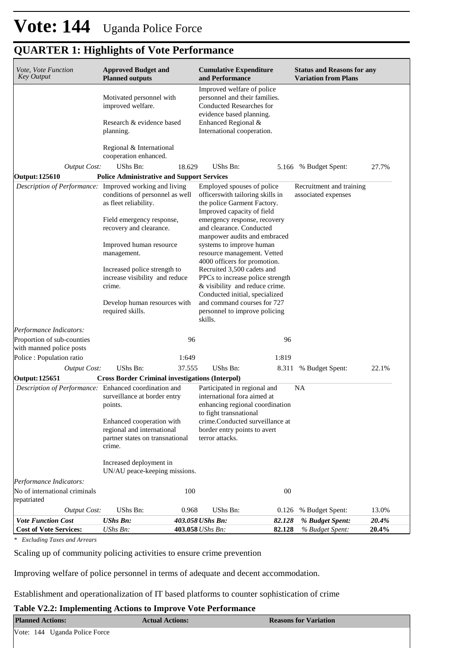| <b>QUARTER 1: Highlights of Vote Performance</b>       |                                                                                                                     |        |                                                                                                                                    |       |                                                                  |       |
|--------------------------------------------------------|---------------------------------------------------------------------------------------------------------------------|--------|------------------------------------------------------------------------------------------------------------------------------------|-------|------------------------------------------------------------------|-------|
| Vote, Vote Function<br>Key Output                      | <b>Approved Budget and</b><br><b>Planned outputs</b>                                                                |        | <b>Cumulative Expenditure</b><br>and Performance                                                                                   |       | <b>Status and Reasons for any</b><br><b>Variation from Plans</b> |       |
|                                                        | Motivated personnel with<br>improved welfare.                                                                       |        | Improved welfare of police<br>personnel and their families.<br>Conducted Researches for<br>evidence based planning.                |       |                                                                  |       |
|                                                        | Research & evidence based<br>planning.                                                                              |        | Enhanced Regional &<br>International cooperation.                                                                                  |       |                                                                  |       |
|                                                        | Regional & International<br>cooperation enhanced.                                                                   |        |                                                                                                                                    |       |                                                                  |       |
| Output Cost:                                           | UShs Bn:                                                                                                            | 18.629 | UShs Bn:                                                                                                                           |       | 5.166 % Budget Spent:                                            | 27.7% |
| <b>Output: 125610</b>                                  | <b>Police Administrative and Support Services</b>                                                                   |        |                                                                                                                                    |       |                                                                  |       |
|                                                        | Description of Performance: Improved working and living<br>conditions of personnel as well<br>as fleet reliability. |        | Employed spouses of police<br>officerswith tailoring skills in<br>the police Garment Factory.<br>Improved capacity of field        |       | Recruitment and training<br>associated expenses                  |       |
|                                                        | Field emergency response,<br>recovery and clearance.                                                                |        | emergency response, recovery<br>and clearance. Conducted<br>manpower audits and embraced                                           |       |                                                                  |       |
|                                                        | Improved human resource<br>management.                                                                              |        | systems to improve human<br>resource management. Vetted<br>4000 officers for promotion.                                            |       |                                                                  |       |
|                                                        | Increased police strength to<br>increase visibility and reduce<br>crime.                                            |        | Recruited 3,500 cadets and<br>PPCs to increase police strength<br>& visibility and reduce crime.<br>Conducted initial, specialized |       |                                                                  |       |
|                                                        | Develop human resources with<br>required skills.                                                                    |        | and command courses for 727<br>personnel to improve policing<br>skills.                                                            |       |                                                                  |       |
| Performance Indicators:                                |                                                                                                                     |        |                                                                                                                                    |       |                                                                  |       |
| Proportion of sub-counties<br>with manned police posts |                                                                                                                     | 96     |                                                                                                                                    | 96    |                                                                  |       |
| Police: Population ratio                               |                                                                                                                     | 1:649  |                                                                                                                                    | 1:819 |                                                                  |       |
| <b>Output Cost:</b>                                    | UShs Bn:                                                                                                            | 37.555 | UShs Bn:                                                                                                                           | 8.311 | % Budget Spent:                                                  | 22.1% |
| <b>Output: 125651</b>                                  | <b>Cross Border Criminal investigations (Interpol)</b>                                                              |        |                                                                                                                                    |       |                                                                  |       |
| Description of Performance: Enhanced coordination and  |                                                                                                                     |        | Participated in regional and                                                                                                       |       | NA                                                               |       |

| <b>Output Cost:</b>                                   | UShs Bn:                                                                                             | 37.555 | UShs Bn:                                                                                                                 | 8.311          | % Budget Spent: | 22.1% |
|-------------------------------------------------------|------------------------------------------------------------------------------------------------------|--------|--------------------------------------------------------------------------------------------------------------------------|----------------|-----------------|-------|
| Output: 125651                                        | <b>Cross Border Criminal investigations (Interpol)</b>                                               |        |                                                                                                                          |                |                 |       |
| Description of Performance: Enhanced coordination and | surveillance at border entry<br>points.                                                              |        | Participated in regional and<br>international fora aimed at<br>enhancing regional coordination<br>to fight transnational |                | <b>NA</b>       |       |
|                                                       | Enhanced cooperation with<br>regional and international<br>partner states on transnational<br>crime. |        | crime.Conducted surveillance at<br>border entry points to avert<br>terror attacks.                                       |                |                 |       |
|                                                       | Increased deployment in                                                                              |        |                                                                                                                          |                |                 |       |
|                                                       | UN/AU peace-keeping missions.                                                                        |        |                                                                                                                          |                |                 |       |
| Performance Indicators:                               |                                                                                                      |        |                                                                                                                          |                |                 |       |
| No of international criminals<br>repatriated          |                                                                                                      | 100    |                                                                                                                          | 0 <sup>0</sup> |                 |       |
| Output Cost:                                          | UShs Bn:                                                                                             | 0.968  | UShs Bn:                                                                                                                 | 0.126          | % Budget Spent: | 13.0% |
| <b>Vote Function Cost</b>                             | $UShs Bn$ :                                                                                          |        | 403.058 UShs Bn:                                                                                                         | 82.128         | % Budget Spent: | 20.4% |
| <b>Cost of Vote Services:</b>                         | $UShs Bn$ :                                                                                          |        | 403.058 UShs Bn:                                                                                                         | 82.128         | % Budget Spent: | 20.4% |

*\* Excluding Taxes and Arrears*

Scaling up of community policing activities to ensure crime prevention

Improving welfare of police personnel in terms of adequate and decent accommodation.

Establishment and operationalization of IT based platforms to counter sophistication of crime

#### **Table V2.2: Implementing Actions to Improve Vote Performance**

| <b>Planned Actions:</b>       | <b>Actual Actions:</b> | <b>Reasons for Variation</b> |  |  |
|-------------------------------|------------------------|------------------------------|--|--|
| Vote: 144 Uganda Police Force |                        |                              |  |  |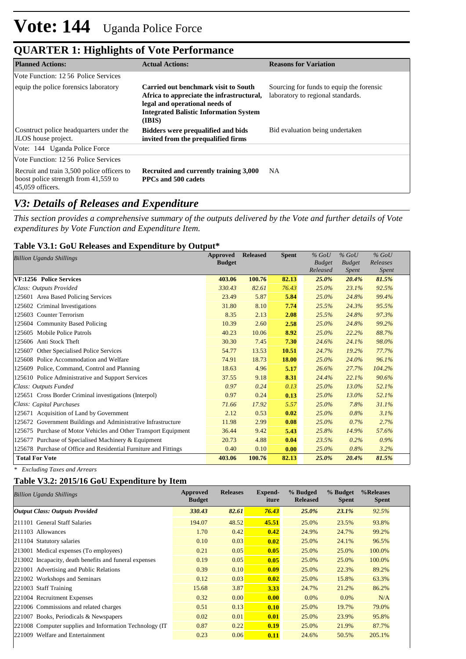| <b>QUARTER 1: Highlights of Vote Performance</b> |  |
|--------------------------------------------------|--|
|--------------------------------------------------|--|

| <b>Planned Actions:</b>                                                                                  | <b>Actual Actions:</b>                                                                                                                                                         | <b>Reasons for Variation</b>                                                  |
|----------------------------------------------------------------------------------------------------------|--------------------------------------------------------------------------------------------------------------------------------------------------------------------------------|-------------------------------------------------------------------------------|
| Vote Function: 12.56 Police Services                                                                     |                                                                                                                                                                                |                                                                               |
| equip the police forensics laboratory                                                                    | Carried out benchmark visit to South<br>Africa to appreciate the infrastructural,<br>legal and operational needs of<br><b>Integrated Balistic Information System</b><br>(IBIS) | Sourcing for funds to equip the forensic<br>laboratory to regional standards. |
| Cosntruct police headquarters under the<br><b>JLOS</b> house project.                                    | <b>Bidders were prequalified and bids</b><br>invited from the prequalified firms                                                                                               | Bid evaluation being undertaken                                               |
| Vote: 144 Uganda Police Force                                                                            |                                                                                                                                                                                |                                                                               |
| Vote Function: 12.56 Police Services                                                                     |                                                                                                                                                                                |                                                                               |
| Recruit and train 3,500 police officers to<br>boost police strength from 41,559 to<br>$45,059$ officers. | Recruited and currently training 3,000<br>PPCs and 500 cadets                                                                                                                  | NA.                                                                           |

### *V3: Details of Releases and Expenditure*

*This section provides a comprehensive summary of the outputs delivered by the Vote and further details of Vote expenditures by Vote Function and Expenditure Item.*

#### **Table V3.1: GoU Releases and Expenditure by Output\***

| <b>Billion Uganda Shillings</b>                                  | Approved<br><b>Budget</b> | <b>Released</b> | <b>Spent</b> | $%$ GoU<br><b>Budget</b><br>Released | $%$ GoU<br><b>Budget</b><br>Spent | $%$ GoU<br>Releases<br>Spent |
|------------------------------------------------------------------|---------------------------|-----------------|--------------|--------------------------------------|-----------------------------------|------------------------------|
| VF:1256 Police Services                                          | 403.06                    | 100.76          | 82.13        | 25.0%                                | 20.4%                             | 81.5%                        |
| Class: Outputs Provided                                          | 330.43                    | 82.61           | 76.43        | 25.0%                                | 23.1%                             | 92.5%                        |
| 125601 Area Based Policing Services                              | 23.49                     | 5.87            | 5.84         | 25.0%                                | 24.8%                             | 99.4%                        |
| 125602 Criminal Investigations                                   | 31.80                     | 8.10            | 7.74         | 25.5%                                | 24.3%                             | 95.5%                        |
| 125603 Counter Terrorism                                         | 8.35                      | 2.13            | 2.08         | 25.5%                                | 24.8%                             | 97.3%                        |
| 125604 Community Based Policing                                  | 10.39                     | 2.60            | 2.58         | 25.0%                                | 24.8%                             | 99.2%                        |
| 125605 Mobile Police Patrols                                     | 40.23                     | 10.06           | 8.92         | 25.0%                                | 22.2%                             | 88.7%                        |
| 125606 Anti Stock Theft                                          | 30.30                     | 7.45            | 7.30         | 24.6%                                | 24.1%                             | 98.0%                        |
| 125607 Other Specialised Police Services                         | 54.77                     | 13.53           | 10.51        | 24.7%                                | 19.2%                             | 77.7%                        |
| 125608 Police Accommodation and Welfare                          | 74.91                     | 18.73           | 18.00        | 25.0%                                | 24.0%                             | 96.1%                        |
| 125609 Police, Command, Control and Planning                     | 18.63                     | 4.96            | 5.17         | 26.6%                                | 27.7%                             | 104.2%                       |
| 125610 Police Administrative and Support Services                | 37.55                     | 9.18            | 8.31         | 24.4%                                | 22.1%                             | 90.6%                        |
| Class: Outputs Funded                                            | 0.97                      | 0.24            | 0.13         | 25.0%                                | 13.0%                             | 52.1%                        |
| 125651 Cross Border Criminal investigations (Interpol)           | 0.97                      | 0.24            | 0.13         | 25.0%                                | 13.0%                             | 52.1%                        |
| Class: Capital Purchases                                         | 71.66                     | 17.92           | 5.57         | 25.0%                                | 7.8%                              | 31.1%                        |
| 125671 Acquisition of Land by Government                         | 2.12                      | 0.53            | 0.02         | 25.0%                                | 0.8%                              | 3.1%                         |
| 125672 Government Buildings and Administrative Infrastructure    | 11.98                     | 2.99            | 0.08         | 25.0%                                | 0.7%                              | 2.7%                         |
| 125675 Purchase of Motor Vehicles and Other Transport Equipment  | 36.44                     | 9.42            | 5.43         | 25.8%                                | 14.9%                             | 57.6%                        |
| 125677 Purchase of Specialised Machinery & Equipment             | 20.73                     | 4.88            | 0.04         | 23.5%                                | 0.2%                              | 0.9%                         |
| 125678 Purchase of Office and Residential Furniture and Fittings | 0.40                      | 0.10            | 0.00         | 25.0%                                | 0.8%                              | 3.2%                         |
| <b>Total For Vote</b>                                            | 403.06                    | 100.76          | 82.13        | 25.0%                                | 20.4%                             | 81.5%                        |

*\* Excluding Taxes and Arrears*

### **Table V3.2: 2015/16 GoU Expenditure by Item**

| Billion Uganda Shillings                                 | Approved<br><b>Budget</b> | <b>Releases</b> | Expend-<br>iture | % Budged<br><b>Released</b> | % Budget<br><b>Spent</b> | %Releases<br><b>Spent</b> |
|----------------------------------------------------------|---------------------------|-----------------|------------------|-----------------------------|--------------------------|---------------------------|
| <b>Output Class: Outputs Provided</b>                    | 330.43                    | 82.61           | 76.43            | 25.0%                       | 23.1%                    | 92.5%                     |
| 211101 General Staff Salaries                            | 194.07                    | 48.52           | 45.51            | 25.0%                       | 23.5%                    | 93.8%                     |
| 211103 Allowances                                        | 1.70                      | 0.42            | 0.42             | 24.9%                       | 24.7%                    | 99.2%                     |
| 211104 Statutory salaries                                | 0.10                      | 0.03            | 0.02             | 25.0%                       | 24.1%                    | 96.5%                     |
| 213001 Medical expenses (To employees)                   | 0.21                      | 0.05            | 0.05             | 25.0%                       | 25.0%                    | 100.0%                    |
| 213002 Incapacity, death benefits and funeral expenses   | 0.19                      | 0.05            | 0.05             | 25.0%                       | 25.0%                    | 100.0%                    |
| 221001 Advertising and Public Relations                  | 0.39                      | 0.10            | 0.09             | 25.0%                       | 22.3%                    | 89.2%                     |
| 221002 Workshops and Seminars                            | 0.12                      | 0.03            | 0.02             | 25.0%                       | 15.8%                    | 63.3%                     |
| 221003 Staff Training                                    | 15.68                     | 3.87            | 3.33             | 24.7%                       | 21.2%                    | 86.2%                     |
| 221004 Recruitment Expenses                              | 0.32                      | 0.00            | 0.00             | 0.0%                        | $0.0\%$                  | N/A                       |
| 221006 Commissions and related charges                   | 0.51                      | 0.13            | 0.10             | 25.0%                       | 19.7%                    | 79.0%                     |
| 221007 Books, Periodicals & Newspapers                   | 0.02                      | 0.01            | 0.01             | 25.0%                       | 23.9%                    | 95.8%                     |
| 221008 Computer supplies and Information Technology (IT) | 0.87                      | 0.22            | 0.19             | 25.0%                       | 21.9%                    | 87.7%                     |
| Welfare and Entertainment<br>221009                      | 0.23                      | 0.06            | 0.11             | 24.6%                       | 50.5%                    | 205.1%                    |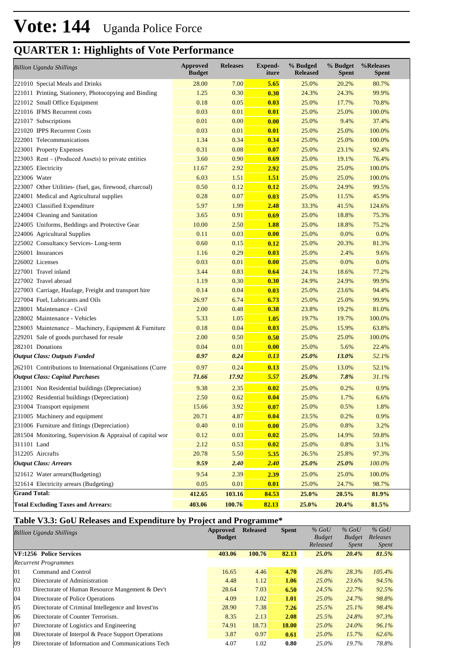## **QUARTER 1: Highlights of Vote Performance**

| <b>Billion Uganda Shillings</b>                            | <b>Approved</b><br><b>Budget</b> | <b>Releases</b> | <b>Expend-</b><br>iture | % Budged<br><b>Released</b> | % Budget<br>Spent | %Releases<br>Spent |
|------------------------------------------------------------|----------------------------------|-----------------|-------------------------|-----------------------------|-------------------|--------------------|
| 221010 Special Meals and Drinks                            | 28.00                            | 7.00            | 5.65                    | 25.0%                       | 20.2%             | 80.7%              |
| 221011 Printing, Stationery, Photocopying and Binding      | 1.25                             | 0.30            | 0.30                    | 24.3%                       | 24.3%             | 99.9%              |
| 221012 Small Office Equipment                              | 0.18                             | 0.05            | 0.03                    | 25.0%                       | 17.7%             | 70.8%              |
| 221016 IFMS Recurrent costs                                | 0.03                             | 0.01            | 0.01                    | 25.0%                       | 25.0%             | 100.0%             |
| 221017 Subscriptions                                       | 0.01                             | 0.00            | 0.00                    | 25.0%                       | 9.4%              | 37.4%              |
| 221020 IPPS Recurrent Costs                                | 0.03                             | 0.01            | 0.01                    | 25.0%                       | 25.0%             | 100.0%             |
| 222001 Telecommunications                                  | 1.34                             | 0.34            | 0.34                    | 25.0%                       | 25.0%             | 100.0%             |
| 223001 Property Expenses                                   | 0.31                             | 0.08            | 0.07                    | 25.0%                       | 23.1%             | 92.4%              |
| 223003 Rent – (Produced Assets) to private entities        | 3.60                             | 0.90            | 0.69                    | 25.0%                       | 19.1%             | 76.4%              |
| 223005 Electricity                                         | 11.67                            | 2.92            | 2.92                    | 25.0%                       | 25.0%             | 100.0%             |
| 223006 Water                                               | 6.03                             | 1.51            | 1.51                    | 25.0%                       | 25.0%             | 100.0%             |
| 223007 Other Utilities- (fuel, gas, firewood, charcoal)    | 0.50                             | 0.12            | 0.12                    | 25.0%                       | 24.9%             | 99.5%              |
| 224001 Medical and Agricultural supplies                   | 0.28                             | 0.07            | 0.03                    | 25.0%                       | 11.5%             | 45.9%              |
| 224003 Classified Expenditure                              | 5.97                             | 1.99            | 2.48                    | 33.3%                       | 41.5%             | 124.6%             |
| 224004 Cleaning and Sanitation                             | 3.65                             | 0.91            | 0.69                    | 25.0%                       | 18.8%             | 75.3%              |
| 224005 Uniforms, Beddings and Protective Gear              | 10.00                            | 2.50            | 1.88                    | 25.0%                       | 18.8%             | 75.2%              |
| 224006 Agricultural Supplies                               | 0.11                             | 0.03            | 0.00                    | 25.0%                       | 0.0%              | 0.0%               |
| 225002 Consultancy Services- Long-term                     | 0.60                             | 0.15            | 0.12                    | 25.0%                       | 20.3%             | 81.3%              |
| 226001 Insurances                                          | 1.16                             | 0.29            | 0.03                    | 25.0%                       | 2.4%              | 9.6%               |
| 226002 Licenses                                            | 0.03                             | 0.01            | 0.00                    | 25.0%                       | 0.0%              | 0.0%               |
| 227001 Travel inland                                       | 3.44                             | 0.83            | 0.64                    | 24.1%                       | 18.6%             | 77.2%              |
| 227002 Travel abroad                                       | 1.19                             | 0.30            | 0.30                    | 24.9%                       | 24.9%             | 99.9%              |
| 227003 Carriage, Haulage, Freight and transport hire       | 0.14                             | 0.04            | 0.03                    | 25.0%                       | 23.6%             | 94.4%              |
| 227004 Fuel, Lubricants and Oils                           | 26.97                            | 6.74            | 6.73                    | 25.0%                       | 25.0%             | 99.9%              |
| 228001 Maintenance - Civil                                 | 2.00                             | 0.48            | 0.38                    | 23.8%                       | 19.2%             | 81.0%              |
| 228002 Maintenance - Vehicles                              | 5.33                             | 1.05            | 1.05                    | 19.7%                       | 19.7%             | 100.0%             |
| 228003 Maintenance – Machinery, Equipment & Furniture      | 0.18                             | 0.04            | 0.03                    | 25.0%                       | 15.9%             | 63.8%              |
| 229201 Sale of goods purchased for resale                  | 2.00                             | 0.50            | 0.50                    | 25.0%                       | 25.0%             | 100.0%             |
| 282101 Donations                                           | 0.04                             | 0.01            | 0.00                    | 25.0%                       | 5.6%              | 22.4%              |
| <b>Output Class: Outputs Funded</b>                        | 0.97                             | 0.24            | 0.13                    | 25.0%                       | 13.0%             | 52.1%              |
| 262101 Contributions to International Organisations (Curre | 0.97                             | 0.24            | 0.13                    | 25.0%                       | 13.0%             | 52.1%              |
| <b>Output Class: Capital Purchases</b>                     | 71.66                            | 17.92           | 5.57                    | 25.0%                       | 7.8%              | 31.1%              |
| 231001 Non Residential buildings (Depreciation)            | 9.38                             | 2.35            | 0.02                    | 25.0%                       | 0.2%              | 0.9%               |
| 231002 Residential buildings (Depreciation)                | 2.50                             | 0.62            | 0.04                    | 25.0%                       | 1.7%              | 6.6%               |
| 231004 Transport equipment                                 | 15.66                            | 3.92            | 0.07                    | 25.0%                       | 0.5%              | 1.8%               |
| 231005 Machinery and equipment                             | 20.71                            | 4.87            | 0.04                    | 23.5%                       | 0.2%              | 0.9%               |
| 231006 Furniture and fittings (Depreciation)               | 0.40                             | 0.10            | 0.00                    | 25.0%                       | 0.8%              | 3.2%               |
| 281504 Monitoring, Supervision & Appraisal of capital wor  | 0.12                             | 0.03            | 0.02                    | 25.0%                       | 14.9%             | 59.8%              |
| 311101 Land                                                | 2.12                             | 0.53            | 0.02                    | 25.0%                       | 0.8%              | 3.1%               |
| 312205 Aircrafts                                           | 20.78                            | 5.50            | 5.35                    | 26.5%                       | 25.8%             | 97.3%              |
| <b>Output Class: Arrears</b>                               | 9.59                             | 2.40            | 2.40                    | 25.0%                       | 25.0%             | 100.0%             |
| 321612 Water arrears(Budgeting)                            | 9.54                             | 2.39            | 2.39                    | 25.0%                       | 25.0%             | 100.0%             |
| 321614 Electricity arrears (Budgeting)                     | 0.05                             | 0.01            | 0.01                    | 25.0%                       | 24.7%             | 98.7%              |
| <b>Grand Total:</b>                                        | 412.65                           | 103.16          | 84.53                   | 25.0%                       | 20.5%             | 81.9%              |
| <b>Total Excluding Taxes and Arrears:</b>                  | 403.06                           | 100.76          | 82.13                   | 25.0%                       | 20.4%             | 81.5%              |

### **Table V3.3: GoU Releases and Expenditure by Project and Programme\***

|              | <b>Billion Uganda Shillings</b>                    | Approved<br><b>Budget</b> | <b>Released</b> | <b>Spent</b> | $%$ GoU<br><b>Budget</b> | $%$ GoU<br><b>Budget</b> | $%$ GoU<br>Releases |  |
|--------------|----------------------------------------------------|---------------------------|-----------------|--------------|--------------------------|--------------------------|---------------------|--|
|              |                                                    |                           |                 |              | Released                 | <i>Spent</i>             | <i>Spent</i>        |  |
|              | VF:1256 Police Services                            | 403.06                    | 100.76          | 82.13        | $25.0\%$                 | 20.4%                    | 81.5%               |  |
|              | <b>Recurrent Programmes</b>                        |                           |                 |              |                          |                          |                     |  |
| 01           | Command and Control                                | 16.65                     | 4.46            | 4.70         | 26.8%                    | 28.3%                    | 105.4%              |  |
| 02           | Directorate of Administration                      | 4.48                      | 1.12            | 1.06         | $25.0\%$                 | 23.6%                    | 94.5%               |  |
| 03           | Directorate of Human Resource Mangement & Dev't    | 28.64                     | 7.03            | 6.50         | 24.5%                    | 22.7%                    | 92.5%               |  |
| 04           | Directorate of Police Operations                   | 4.09                      | 1.02            | 1.01         | $25.0\%$                 | 24.7%                    | 98.8%               |  |
| $ 05\rangle$ | Directorate of Criminal Intellegence and Invest'ns | 28.90                     | 7.38            | 7.26         | 25.5%                    | 25.1%                    | 98.4%               |  |
| 06           | Directorate of Counter Terrorism.                  | 8.35                      | 2.13            | 2.08         | 25.5%                    | 24.8%                    | 97.3%               |  |
| 07           | Directorate of Logistics and Engineering           | 74.91                     | 18.73           | 18.00        | $25.0\%$                 | 24.0%                    | 96.1%               |  |
| 08           | Directorate of Interpol & Peace Support Operations | 3.87                      | 0.97            | 0.61         | $25.0\%$                 | 15.7%                    | 62.6%               |  |
| 09           | Directorate of Information and Communications Tech | 4.07                      | 1.02            | 0.80         | 25.0%                    | 19.7%                    | 78.8%               |  |